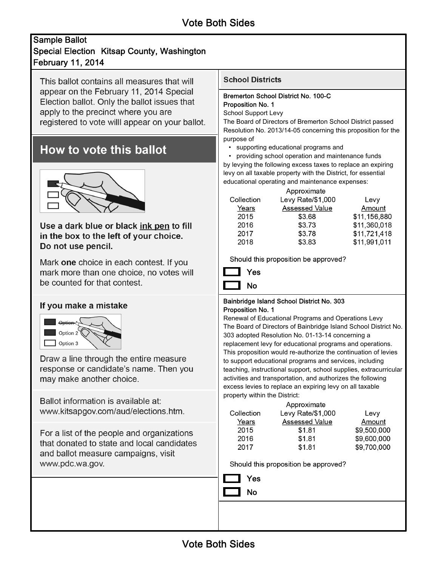## February 11, 2014 Sample Ballot Special Election Kitsap County, Washington

This ballot contains all measures that will appear on the February 11, 2014 Special Election ballot. Only the ballot issues that apply to the precinct where you are registered to vote will appear on your ballot.

# How to vote this ballot



Use a dark blue or black ink pen to fill in the box to the left of your choice. Do not use pencil.

Mark one choice in each contest. If you mark more than one choice, no votes will be counted for that contest.

## If you make a mistake



Draw a line through the entire measure response or candidate's name. Then you may make another choice.

Ballot information is available at: www.kitsapgov.com/aud/elections.htm.

For a list of the people and organizations that donated to state and local candidates and ballot measure campaigns, visit www.pdc.wa.gov.

### **School Districts**

#### Bremerton School District No. 100-C Proposition No. 1

School Support Levy

The Board of Directors of Bremerton School District passed Resolution No. 2013/14-05 concerning this proposition for the purpose of

• supporting educational programs and

• providing school operation and maintenance funds by levying the following excess taxes to replace an expiring levy on all taxable property with the District, for essential educational operating and maintenance expenses:

|            | Approximate           |              |  |
|------------|-----------------------|--------------|--|
| Collection | Levy Rate/\$1,000     | Levy         |  |
| Years      | <b>Assessed Value</b> | Amount       |  |
| 2015       | \$3.68                | \$11,156,880 |  |
| 2016       | \$3.73                | \$11,360,018 |  |
| 2017       | \$3.78                | \$11,721,418 |  |
| 2018       | \$3.83                | \$11,991,011 |  |

Should this proposition be approved?



#### Bainbridge Island School District No. 303 Proposition No. 1

Renewal of Educational Programs and Operations Levy The Board of Directors of Bainbridge Island School District No. 303 adopted Resolution No. 01-13-14 concerning a replacement levy for educational programs and operations. This proposition would re-authorize the continuation of levies to support educational programs and services, including teaching, instructional support, school supplies, extracurricular activities and transportation, and authorizes the following excess levies to replace an expiring levy on all taxable property within the District:

| Approximate |                       |             |  |  |  |
|-------------|-----------------------|-------------|--|--|--|
| Collection  | Levy Rate/\$1,000     | Levy        |  |  |  |
| Years       | <b>Assessed Value</b> | Amount      |  |  |  |
| 2015        | \$1.81                | \$9,500,000 |  |  |  |
| 2016        | \$1.81                | \$9,600,000 |  |  |  |
| 2017        | \$1.81                | \$9,700,000 |  |  |  |

Should this proposition be approved?